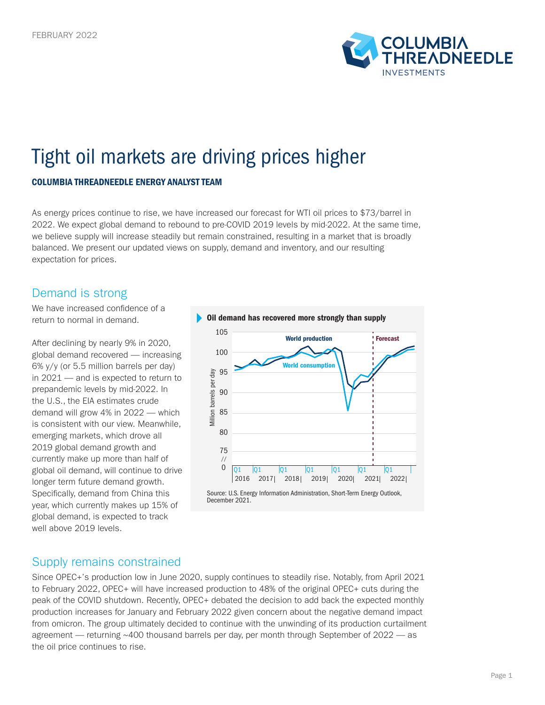

# Tight oil markets are driving prices higher

#### COLUMBIA THREADNEEDLE ENERGY ANALYST TEAM

As energy prices continue to rise, we have increased our forecast for WTI oil prices to \$73/barrel in 2022. We expect global demand to rebound to pre-COVID 2019 levels by mid-2022. At the same time, we believe supply will increase steadily but remain constrained, resulting in a market that is broadly balanced. We present our updated views on supply, demand and inventory, and our resulting expectation for prices.

### Demand is strong

We have increased confidence of a return to normal in demand.

After declining by nearly 9% in 2020, global demand recovered — increasing 6% y/y (or 5.5 million barrels per day) in 2021 — and is expected to return to prepandemic levels by mid-2022. In the U.S., the EIA estimates crude demand will grow 4% in 2022 — which is consistent with our view. Meanwhile, emerging markets, which drove all 2019 global demand growth and currently make up more than half of global oil demand, will continue to drive longer term future demand growth. Specifically, demand from China this year, which currently makes up 15% of global demand, is expected to track well above 2019 levels.



#### Supply remains constrained

Since OPEC+'s production low in June 2020, supply continues to steadily rise. Notably, from April 2021 to February 2022, OPEC+ will have increased production to 48% of the original OPEC+ cuts during the peak of the COVID shutdown. Recently, OPEC+ debated the decision to add back the expected monthly production increases for January and February 2022 given concern about the negative demand impact from omicron. The group ultimately decided to continue with the unwinding of its production curtailment agreement — returning ~400 thousand barrels per day, per month through September of 2022 — as the oil price continues to rise.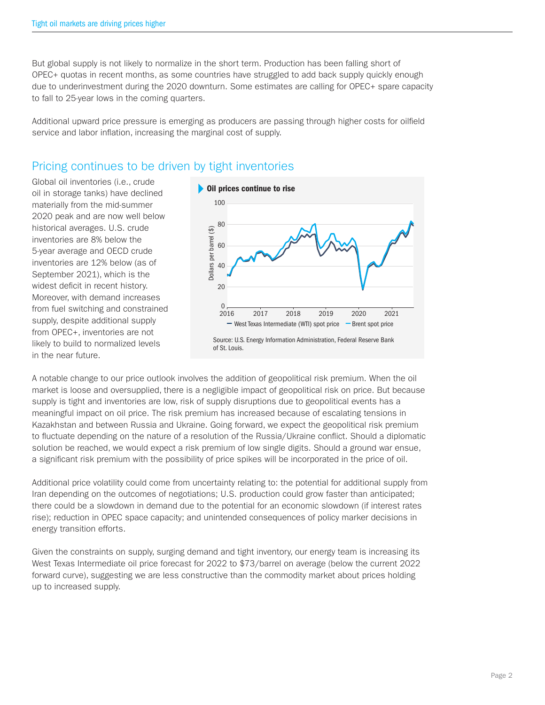But global supply is not likely to normalize in the short term. Production has been falling short of OPEC+ quotas in recent months, as some countries have struggled to add back supply quickly enough due to underinvestment during the 2020 downturn. Some estimates are calling for OPEC+ spare capacity to fall to 25-year lows in the coming quarters.

Additional upward price pressure is emerging as producers are passing through higher costs for oilfield service and labor inflation, increasing the marginal cost of supply.

## Pricing continues to be driven by tight inventories

Global oil inventories (i.e., crude oil in storage tanks) have declined materially from the mid-summer 2020 peak and are now well below historical averages. U.S. crude inventories are 8% below the 5-year average and OECD crude inventories are 12% below (as of September 2021), which is the widest deficit in recent history. Moreover, with demand increases from fuel switching and constrained supply, despite additional supply from OPEC+, inventories are not likely to build to normalized levels in the near future.



A notable change to our price outlook involves the addition of geopolitical risk premium. When the oil market is loose and oversupplied, there is a negligible impact of geopolitical risk on price. But because supply is tight and inventories are low, risk of supply disruptions due to geopolitical events has a meaningful impact on oil price. The risk premium has increased because of escalating tensions in Kazakhstan and between Russia and Ukraine. Going forward, we expect the geopolitical risk premium to fluctuate depending on the nature of a resolution of the Russia/Ukraine conflict. Should a diplomatic solution be reached, we would expect a risk premium of low single digits. Should a ground war ensue, a significant risk premium with the possibility of price spikes will be incorporated in the price of oil.

Additional price volatility could come from uncertainty relating to: the potential for additional supply from Iran depending on the outcomes of negotiations; U.S. production could grow faster than anticipated; there could be a slowdown in demand due to the potential for an economic slowdown (if interest rates rise); reduction in OPEC space capacity; and unintended consequences of policy marker decisions in energy transition efforts.

Given the constraints on supply, surging demand and tight inventory, our energy team is increasing its West Texas Intermediate oil price forecast for 2022 to \$73/barrel on average (below the current 2022 forward curve), suggesting we are less constructive than the commodity market about prices holding up to increased supply.